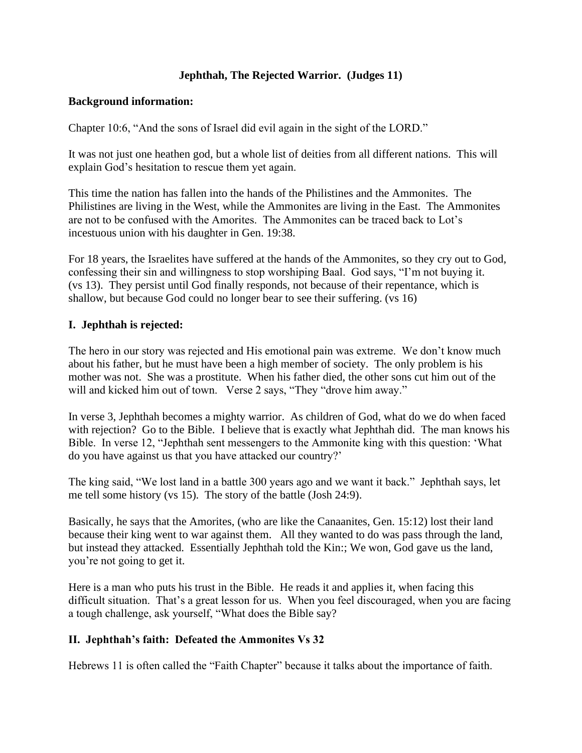# **Jephthah, The Rejected Warrior. (Judges 11)**

## **Background information:**

Chapter 10:6, "And the sons of Israel did evil again in the sight of the LORD."

It was not just one heathen god, but a whole list of deities from all different nations. This will explain God's hesitation to rescue them yet again.

This time the nation has fallen into the hands of the Philistines and the Ammonites. The Philistines are living in the West, while the Ammonites are living in the East. The Ammonites are not to be confused with the Amorites. The Ammonites can be traced back to Lot's incestuous union with his daughter in Gen. 19:38.

For 18 years, the Israelites have suffered at the hands of the Ammonites, so they cry out to God, confessing their sin and willingness to stop worshiping Baal. God says, "I'm not buying it. (vs 13). They persist until God finally responds, not because of their repentance, which is shallow, but because God could no longer bear to see their suffering. (vs 16)

## **I. Jephthah is rejected:**

The hero in our story was rejected and His emotional pain was extreme. We don't know much about his father, but he must have been a high member of society. The only problem is his mother was not. She was a prostitute. When his father died, the other sons cut him out of the will and kicked him out of town. Verse 2 says, "They "drove him away."

In verse 3, Jephthah becomes a mighty warrior. As children of God, what do we do when faced with rejection? Go to the Bible. I believe that is exactly what Jephthah did. The man knows his Bible. In verse 12, "Jephthah sent messengers to the Ammonite king with this question: 'What do you have against us that you have attacked our country?'

The king said, "We lost land in a battle 300 years ago and we want it back." Jephthah says, let me tell some history (vs 15). The story of the battle (Josh 24:9).

Basically, he says that the Amorites, (who are like the Canaanites, Gen. 15:12) lost their land because their king went to war against them. All they wanted to do was pass through the land, but instead they attacked. Essentially Jephthah told the Kin:; We won, God gave us the land, you're not going to get it.

Here is a man who puts his trust in the Bible. He reads it and applies it, when facing this difficult situation. That's a great lesson for us. When you feel discouraged, when you are facing a tough challenge, ask yourself, "What does the Bible say?

## **II. Jephthah's faith: Defeated the Ammonites Vs 32**

Hebrews 11 is often called the "Faith Chapter" because it talks about the importance of faith.